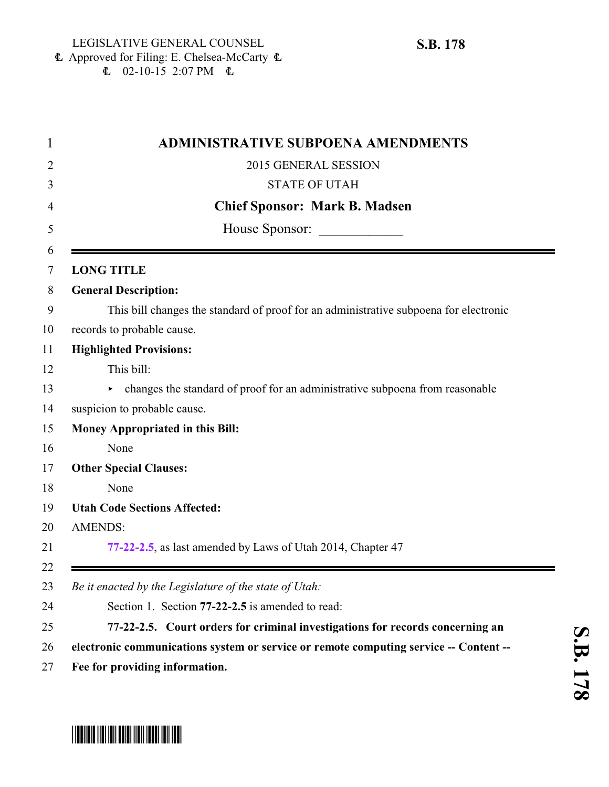|  | <b>L</b> Approved for Filing: E. Chelsea-McCarty $\Phi$ |  |
|--|---------------------------------------------------------|--|
|  | $\text{L}$ 02-10-15 2:07 PM $\text{L}$                  |  |

|                   | <b>ADMINISTRATIVE SUBPOENA AMENDMENTS</b>                                             |
|-------------------|---------------------------------------------------------------------------------------|
|                   | 2015 GENERAL SESSION                                                                  |
|                   | <b>STATE OF UTAH</b>                                                                  |
|                   | <b>Chief Sponsor: Mark B. Madsen</b>                                                  |
|                   | House Sponsor:                                                                        |
|                   |                                                                                       |
| <b>LONG TITLE</b> |                                                                                       |
|                   | <b>General Description:</b>                                                           |
|                   | This bill changes the standard of proof for an administrative subpoena for electronic |
|                   | records to probable cause.                                                            |
|                   | <b>Highlighted Provisions:</b>                                                        |
|                   | This bill:                                                                            |
|                   | changes the standard of proof for an administrative subpoena from reasonable          |
|                   | suspicion to probable cause.                                                          |
|                   | <b>Money Appropriated in this Bill:</b>                                               |
|                   | None                                                                                  |
|                   | <b>Other Special Clauses:</b>                                                         |
|                   | None                                                                                  |
|                   | <b>Utah Code Sections Affected:</b>                                                   |
| <b>AMENDS:</b>    |                                                                                       |
|                   | 77-22-2.5, as last amended by Laws of Utah 2014, Chapter 47                           |
|                   |                                                                                       |
|                   | Be it enacted by the Legislature of the state of Utah:                                |
|                   | Section 1. Section 77-22-2.5 is amended to read:                                      |
|                   | 77-22-2.5. Court orders for criminal investigations for records concerning an         |
|                   | electronic communications system or service or remote computing service -- Content -- |
|                   | Fee for providing information.                                                        |

<span id="page-0-0"></span>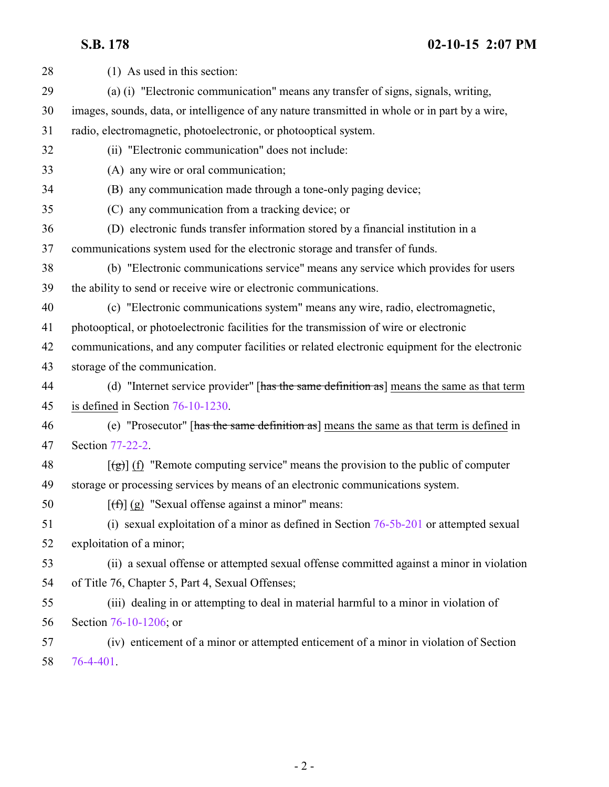**S.B. 178 02-10-15 2:07 PM**

| 28 | (1) As used in this section:                                                                            |
|----|---------------------------------------------------------------------------------------------------------|
| 29 | (a) (i) "Electronic communication" means any transfer of signs, signals, writing,                       |
| 30 | images, sounds, data, or intelligence of any nature transmitted in whole or in part by a wire,          |
| 31 | radio, electromagnetic, photoelectronic, or photooptical system.                                        |
| 32 | (ii) "Electronic communication" does not include:                                                       |
| 33 | (A) any wire or oral communication;                                                                     |
| 34 | (B) any communication made through a tone-only paging device;                                           |
| 35 | (C) any communication from a tracking device; or                                                        |
| 36 | (D) electronic funds transfer information stored by a financial institution in a                        |
| 37 | communications system used for the electronic storage and transfer of funds.                            |
| 38 | (b) "Electronic communications service" means any service which provides for users                      |
| 39 | the ability to send or receive wire or electronic communications.                                       |
| 40 | (c) "Electronic communications system" means any wire, radio, electromagnetic,                          |
| 41 | photooptical, or photoelectronic facilities for the transmission of wire or electronic                  |
| 42 | communications, and any computer facilities or related electronic equipment for the electronic          |
| 43 | storage of the communication.                                                                           |
| 44 | (d) "Internet service provider" [has the same definition as] means the same as that term                |
| 45 | is defined in Section $76-10-1230$ .                                                                    |
| 46 | (e) "Prosecutor" [has the same definition as] means the same as that term is defined in                 |
| 47 | Section 77-22-2.                                                                                        |
| 48 | $\left[\frac{1}{2}\right]$ (f) "Remote computing service" means the provision to the public of computer |
| 49 | storage or processing services by means of an electronic communications system.                         |
| 50 | $[f(f)](g)$ "Sexual offense against a minor" means:                                                     |
| 51 | (i) sexual exploitation of a minor as defined in Section $76-5b-201$ or attempted sexual                |
| 52 | exploitation of a minor;                                                                                |
| 53 | (ii) a sexual offense or attempted sexual offense committed against a minor in violation                |
| 54 | of Title 76, Chapter 5, Part 4, Sexual Offenses;                                                        |
| 55 | (iii) dealing in or attempting to deal in material harmful to a minor in violation of                   |
| 56 | Section 76-10-1206; or                                                                                  |
| 57 | (iv) enticement of a minor or attempted enticement of a minor in violation of Section                   |
| 58 | 76-4-401.                                                                                               |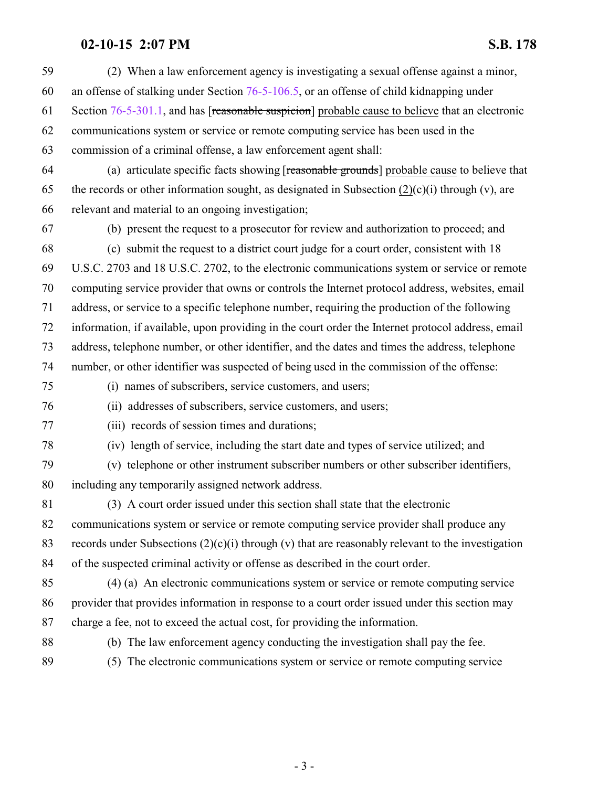## **02-10-15 2:07 PM S.B. 178**

| 59 | (2) When a law enforcement agency is investigating a sexual offense against a minor,                |
|----|-----------------------------------------------------------------------------------------------------|
| 60 | an offense of stalking under Section $76-5-106.5$ , or an offense of child kidnapping under         |
| 61 | Section 76-5-301.1, and has [reasonable suspicion] probable cause to believe that an electronic     |
| 62 | communications system or service or remote computing service has been used in the                   |
| 63 | commission of a criminal offense, a law enforcement agent shall:                                    |
| 64 | (a) articulate specific facts showing [reasonable grounds] probable cause to believe that           |
| 65 | the records or other information sought, as designated in Subsection $(2)(c)(i)$ through (v), are   |
| 66 | relevant and material to an ongoing investigation;                                                  |
| 67 | (b) present the request to a prosecutor for review and authorization to proceed; and                |
| 68 | (c) submit the request to a district court judge for a court order, consistent with 18              |
| 69 | U.S.C. 2703 and 18 U.S.C. 2702, to the electronic communications system or service or remote        |
| 70 | computing service provider that owns or controls the Internet protocol address, websites, email     |
| 71 | address, or service to a specific telephone number, requiring the production of the following       |
| 72 | information, if available, upon providing in the court order the Internet protocol address, email   |
| 73 | address, telephone number, or other identifier, and the dates and times the address, telephone      |
| 74 | number, or other identifier was suspected of being used in the commission of the offense:           |
| 75 | (i) names of subscribers, service customers, and users;                                             |
| 76 | (ii) addresses of subscribers, service customers, and users;                                        |
| 77 | (iii) records of session times and durations;                                                       |
| 78 | (iv) length of service, including the start date and types of service utilized; and                 |
| 79 | (v) telephone or other instrument subscriber numbers or other subscriber identifiers,               |
| 80 | including any temporarily assigned network address.                                                 |
| 81 | (3) A court order issued under this section shall state that the electronic                         |
| 82 | communications system or service or remote computing service provider shall produce any             |
| 83 | records under Subsections $(2)(c)(i)$ through (v) that are reasonably relevant to the investigation |
| 84 | of the suspected criminal activity or offense as described in the court order.                      |
| 85 | (4) (a) An electronic communications system or service or remote computing service                  |
| 86 | provider that provides information in response to a court order issued under this section may       |
| 87 | charge a fee, not to exceed the actual cost, for providing the information.                         |
| 88 | (b) The law enforcement agency conducting the investigation shall pay the fee.                      |
| 89 | (5) The electronic communications system or service or remote computing service                     |